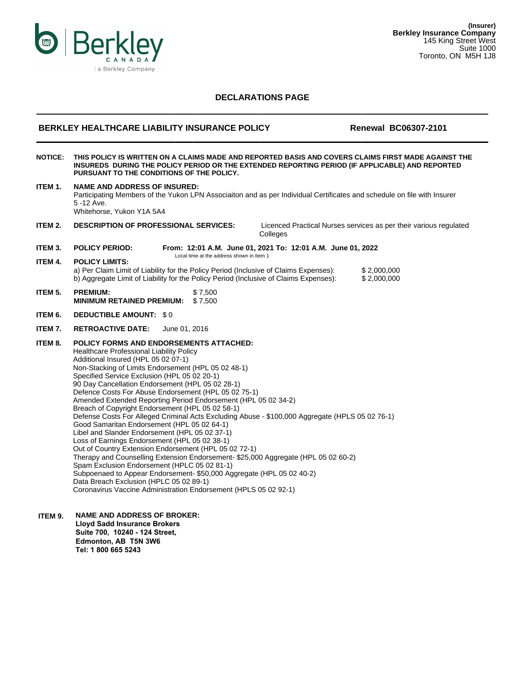

# **DECLARATIONS PAGE**

## **BERKLEY HEALTHCARE LIABILITY INSURANCE POLICY FOR Renewal BC06307-2101**

**NOTICE: THIS POLICY IS WRITTEN ON A CLAIMS MADE AND REPORTED BASIS AND COVERS CLAIMS FIRST MADE AGAINST THE INSUREDS DURING THE POLICY PERIOD OR THE EXTENDED REPORTING PERIOD (IF APPLICABLE) AND REPORTED PURSUANT TO THE CONDITIONS OF THE POLICY. ITEM 1. NAME AND ADDRESS OF INSURED:**

Participating Members of the Yukon LPN Associaiton and as per Individual Certificates and schedule on file with Insurer 5 -12 Ave. Whitehorse, Yukon Y1A 5A4 **ITEM 2. DESCRIPTION OF PROFESSIONAL SERVICES:** Licenced Practical Nurses services as per their various regulated **Colleges ITEM 3. POLICY PERIOD: From: 12:01 A.M. June 01, 2021 To: 12:01 A.M. June 01, 2022** Local time at the address shown in Item 1 **ITEM 4. POLICY LIMITS:** a) Per Claim Limit of Liability for the Policy Period (Inclusive of Claims Expenses): \$ 2,000,000 b) Aggregate Limit of Liability for the Policy Period (Inclusive of Claims Expenses): \$ 2,000,000 **ITEM 5. ITEM 6. PREMIUM:** \$ 7,500 **MINIMUM RETAINED PREMIUM:** \$ 7,500 **DEDUCTIBLE AMOUNT:** \$ 0 **ITEM 7. RETROACTIVE DATE:** June 01, 2016 **ITEM 8. POLICY FORMS AND ENDORSEMENTS ATTACHED:** Healthcare Professional Liability Policy Additional Insured (HPL 05 02 07-1) Non-Stacking of Limits Endorsement (HPL 05 02 48-1) Specified Service Exclusion (HPL 05 02 20-1) 90 Day Cancellation Endorsement (HPL 05 02 28-1) Defence Costs For Abuse Endorsement (HPL 05 02 75-1) Amended Extended Reporting Period Endorsement (HPL 05 02 34-2) Breach of Copyright Endorsement (HPL 05 02 58-1) Defense Costs For Alleged Criminal Acts Excluding Abuse - \$100,000 Aggregate (HPLS 05 02 76-1) Good Samaritan Endorsement (HPL 05 02 64-1) Libel and Slander Endorsement (HPL 05 02 37-1) Loss of Earnings Endorsement (HPL 05 02 38-1) Out of Country Extension Endorsement (HPL 05 02 72-1) Therapy and Counselling Extension Endorsement- \$25,000 Aggregate (HPL 05 02 60-2) Spam Exclusion Endorsement (HPLC 05 02 81-1) Subpoenaed to Appear Endorsement- \$50,000 Aggregate (HPL 05 02 40-2) Data Breach Exclusion (HPLC 05 02 89-1) Coronavirus Vaccine Administration Endorsement (HPLS 05 02 92-1)

**ITEM 9. NAME AND ADDRESS OF BROKER: Lloyd Sadd Insurance Brokers Suite 700, 10240 - 124 Street, Edmonton, AB T5N 3W6 Tel: 1 800 665 5243**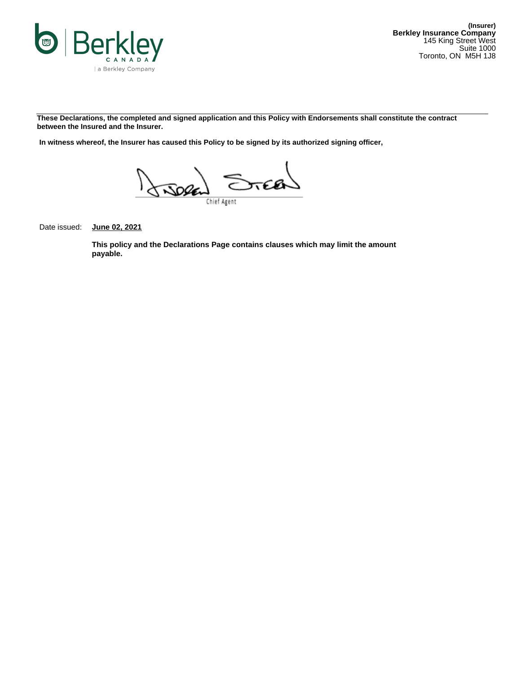

**These Declarations, the completed and signed application and this Policy with Endorsements shall constitute the contract between the Insured and the Insurer.**

**In witness whereof, the Insurer has caused this Policy to be signed by its authorized signing officer,**



Date issued: **June 02, 2021**

**This policy and the Declarations Page contains clauses which may limit the amount payable.**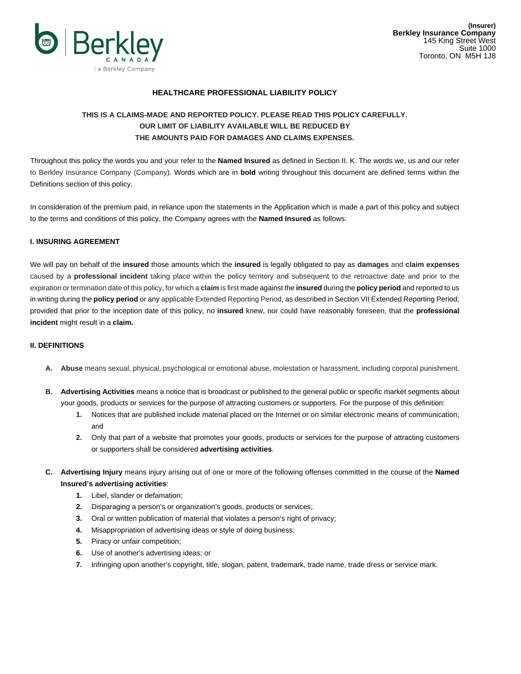

# **HEALTHCARE PROFESSIONAL LIABILITY POLICY**

# **THIS IS A CLAIMS-MADE AND REPORTED POLICY. PLEASE READ THIS POLICY CAREFULLY. OUR LIMIT OF LIABILITY AVAILABLE WILL BE REDUCED BY THE AMOUNTS PAID FOR DAMAGES AND CLAIMS EXPENSES.**

Throughout this policy the words you and your refer to the **Named Insured** as defined in Section II. K. The words we, us and our refer to Berkley Insurance Company (Company). Words which are in **bold** writing throughout this document are defined terms within the Definitions section of this policy.

In consideration of the premium paid, in reliance upon the statements in the Application which is made a part of this policy and subject to the terms and conditions of this policy, the Company agrees with the **Named Insured** as follows:

### **I. INSURING AGREEMENT**

We will pay on behalf of the **insured** those amounts which the **insured** is legally obligated to pay as **damages** and **claim expenses** caused by a **professional incident** taking place within the policy territory and subsequent to the retroactive date and prior to the expiration or termination date of this policy, for which a **claim** is first made against the **insured** during the **policy period** and reported to us in writing during the **policy period** or any applicable Extended Reporting Period, as described in Section VII Extended Reporting Period; provided that prior to the inception date of this policy, no **insured** knew, nor could have reasonably foreseen, that the **professional incident** might result in a **claim.**

### **II. DEFINITIONS**

- **A. Abuse** means sexual, physical, psychological or emotional abuse, molestation or harassment, including corporal punishment.
- **B. Advertising Activities** means a notice that is broadcast or published to the general public or specific market segments about your goods, products or services for the purpose of attracting customers or supporters. For the purpose of this definition:
	- **1.** Notices that are published include material placed on the Internet or on similar electronic means of communication; and
	- **2.** Only that part of a website that promotes your goods, products or services for the purpose of attracting customers or supporters shall be considered **advertising activities**.
- **C. Advertising Injury** means injury arising out of one or more of the following offenses committed in the course of the **Named Insured's advertising activities**:
	- **1.** Libel, slander or defamation;
	- **2.** Disparaging a person's or organization's goods, products or services;
	- **3.** Oral or written publication of material that violates a person's right of privacy;
	- **4.** Misappropriation of advertising ideas or style of doing business;
	- **5.** Piracy or unfair competition;
	- **6.** Use of another's advertising ideas; or
	- **7.** Infringing upon another's copyright, title, slogan, patent, trademark, trade name, trade dress or service mark.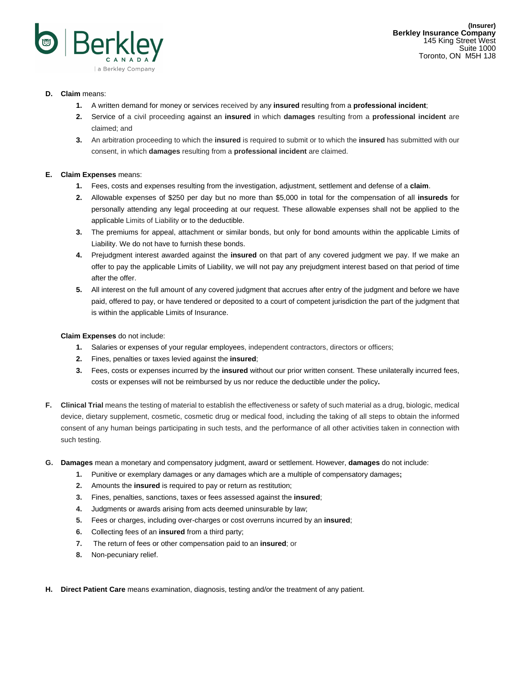

# **D. Claim** means:

- **1.** A written demand for money or services received by any **insured** resulting from a **professional incident**;
- **2.** Service of a civil proceeding against an **insured** in which **damages** resulting from a **professional incident** are claimed; and
- **3.** An arbitration proceeding to which the **insured** is required to submit or to which the **insured** has submitted with our consent, in which **damages** resulting from a **professional incident** are claimed.

# **E. Claim Expenses** means:

- **1.** Fees, costs and expenses resulting from the investigation, adjustment, settlement and defense of a **claim**.
- **2.** Allowable expenses of \$250 per day but no more than \$5,000 in total for the compensation of all **insureds** for personally attending any legal proceeding at our request. These allowable expenses shall not be applied to the applicable Limits of Liability or to the deductible.
- **3.** The premiums for appeal, attachment or similar bonds, but only for bond amounts within the applicable Limits of Liability. We do not have to furnish these bonds.
- **4.** Prejudgment interest awarded against the **insured** on that part of any covered judgment we pay. If we make an offer to pay the applicable Limits of Liability, we will not pay any prejudgment interest based on that period of time after the offer.
- **5.** All interest on the full amount of any covered judgment that accrues after entry of the judgment and before we have paid, offered to pay, or have tendered or deposited to a court of competent jurisdiction the part of the judgment that is within the applicable Limits of Insurance.

## **Claim Expenses** do not include:

- **1.** Salaries or expenses of your regular employees, independent contractors, directors or officers;
- **2.** Fines, penalties or taxes levied against the **insured**;
- **3.** Fees, costs or expenses incurred by the **insured** without our prior written consent. These unilaterally incurred fees, costs or expenses will not be reimbursed by us nor reduce the deductible under the policy**.**
- **F. Clinical Trial** means the testing of material to establish the effectiveness or safety of such material as a drug, biologic, medical device, dietary supplement, cosmetic, cosmetic drug or medical food, including the taking of all steps to obtain the informed consent of any human beings participating in such tests, and the performance of all other activities taken in connection with such testing.
- **G. Damages** mean a monetary and compensatory judgment, award or settlement. However, **damages** do not include:
	- **1.** Punitive or exemplary damages or any damages which are a multiple of compensatory damages**;**
	- **2.** Amounts the **insured** is required to pay or return as restitution;
	- **3.** Fines, penalties, sanctions, taxes or fees assessed against the **insured**;
	- **4.** Judgments or awards arising from acts deemed uninsurable by law;
	- **5.** Fees or charges, including over-charges or cost overruns incurred by an **insured**;
	- **6.** Collecting fees of an **insured** from a third party;
	- **7.** The return of fees or other compensation paid to an **insured**; or
	- **8.** Non-pecuniary relief.
- **H. Direct Patient Care** means examination, diagnosis, testing and/or the treatment of any patient.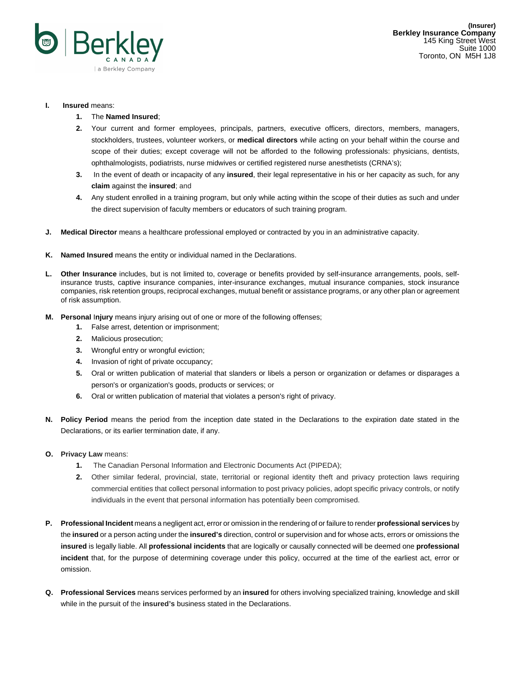

### **I. Insured** means:

- **1.** The **Named Insured**;
- **2.** Your current and former employees, principals, partners, executive officers, directors, members, managers, stockholders, trustees, volunteer workers, or **medical directors** while acting on your behalf within the course and scope of their duties; except coverage will not be afforded to the following professionals: physicians, dentists, ophthalmologists, podiatrists, nurse midwives or certified registered nurse anesthetists (CRNA's);
- **3.** In the event of death or incapacity of any **insured**, their legal representative in his or her capacity as such, for any **claim** against the **insured**; and
- **4.** Any student enrolled in a training program, but only while acting within the scope of their duties as such and under the direct supervision of faculty members or educators of such training program.
- **J. Medical Director** means a healthcare professional employed or contracted by you in an administrative capacity.
- **K. Named Insured** means the entity or individual named in the Declarations.
- **L. Other Insurance** includes, but is not limited to, coverage or benefits provided by self-insurance arrangements, pools, selfinsurance trusts, captive insurance companies, inter-insurance exchanges, mutual insurance companies, stock insurance companies, risk retention groups, reciprocal exchanges, mutual benefit or assistance programs, or any other plan or agreement of risk assumption.
- **M. Personal** I**njury** means injury arising out of one or more of the following offenses;
	- **1.** False arrest, detention or imprisonment;
	- **2.** Malicious prosecution;
	- **3.** Wrongful entry or wrongful eviction;
	- **4.** Invasion of right of private occupancy;
	- **5.** Oral or written publication of material that slanders or libels a person or organization or defames or disparages a person's or organization's goods, products or services; or
	- **6.** Oral or written publication of material that violates a person's right of privacy.
- **N. Policy Period** means the period from the inception date stated in the Declarations to the expiration date stated in the Declarations, or its earlier termination date, if any.
- **O. Privacy Law** means:
	- **1.** The Canadian Personal Information and Electronic Documents Act (PIPEDA);
	- **2.** Other similar federal, provincial, state, territorial or regional identity theft and privacy protection laws requiring commercial entities that collect personal information to post privacy policies, adopt specific privacy controls, or notify individuals in the event that personal information has potentially been compromised.
- **P. Professional Incident** means a negligent act, error or omission in the rendering of or failure to render **professional services** by the **insured** or a person acting under the **insured's** direction, control or supervision and for whose acts, errors or omissions the **insured** is legally liable. All **professional incidents** that are logically or causally connected will be deemed one **professional incident** that, for the purpose of determining coverage under this policy, occurred at the time of the earliest act, error or omission.
- **Q. Professional Services** means services performed by an **insured** for others involving specialized training, knowledge and skill while in the pursuit of the **insured's** business stated in the Declarations.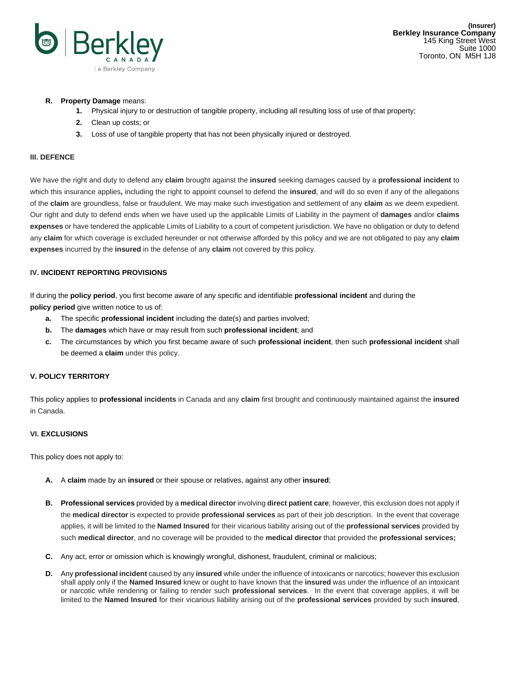

### **R. Property Damage** means:

- **1.** Physical injury to or destruction of tangible property, including all resulting loss of use of that property;
- **2.** Clean up costs; or
- **3.** Loss of use of tangible property that has not been physically injured or destroyed.

### **III. DEFENCE**

We have the right and duty to defend any **claim** brought against the **insured** seeking damages caused by a **professional incident** to which this insurance applies**,** including the right to appoint counsel to defend the **insured**, and will do so even if any of the allegations of the **claim** are groundless, false or fraudulent. We may make such investigation and settlement of any **claim** as we deem expedient. Our right and duty to defend ends when we have used up the applicable Limits of Liability in the payment of **damages** and/or **claims expenses** or have tendered the applicable Limits of Liability to a court of competent jurisdiction. We have no obligation or duty to defend any **claim** for which coverage is excluded hereunder or not otherwise afforded by this policy and we are not obligated to pay any **claim expenses** incurred by the **insured** in the defense of any **claim** not covered by this policy.

### **IV. INCIDENT REPORTING PROVISIONS**

If during the **policy period**, you first become aware of any specific and identifiable **professional incident** and during the **policy period** give written notice to us of:

- **a.** The specific **professional incident** including the date(s) and parties involved;
- **b.** The **damages** which have or may result from such **professional incident**; and
- **c.** The circumstances by which you first became aware of such **professional incident**, then such **professional incident** shall be deemed a **claim** under this policy.

### **V. POLICY TERRITORY**

This policy applies to **professional incidents** in Canada and any **claim** first brought and continuously maintained against the **insured** in Canada.

### **VI. EXCLUSIONS**

This policy does not apply to:

- **A.** A **claim** made by an **insured** or their spouse or relatives, against any other **insured**;
- **B. Professional services** provided by a **medical director** involving **direct patient care**; however, this exclusion does not apply if the **medical director** is expected to provide **professional services** as part of their job description. In the event that coverage applies, it will be limited to the **Named Insured** for their vicarious liability arising out of the **professional services** provided by such **medical director**, and no coverage will be provided to the **medical director** that provided the **professional services;**
- **C.** Any act, error or omission which is knowingly wrongful, dishonest, fraudulent, criminal or malicious;
- **D.** Any **professional incident** caused by any **insured** while under the influence of intoxicants or narcotics; however this exclusion shall apply only if the **Named Insured** knew or ought to have known that the **insured** was under the influence of an intoxicant or narcotic while rendering or failing to render such **professional services**. In the event that coverage applies, it will be limited to the **Named Insured** for their vicarious liability arising out of the **professional services** provided by such **insured**,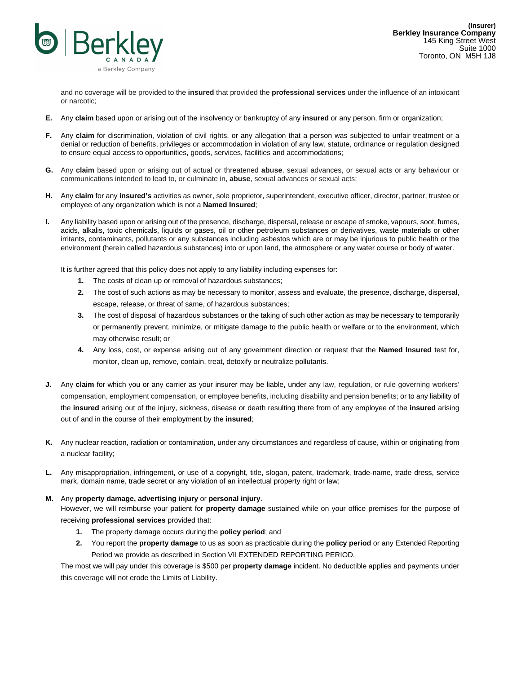

and no coverage will be provided to the **insured** that provided the **professional services** under the influence of an intoxicant or narcotic;

- **E.** Any **claim** based upon or arising out of the insolvency or bankruptcy of any **insured** or any person, firm or organization;
- **F.** Any **claim** for discrimination, violation of civil rights, or any allegation that a person was subjected to unfair treatment or a denial or reduction of benefits, privileges or accommodation in violation of any law, statute, ordinance or regulation designed to ensure equal access to opportunities, goods, services, facilities and accommodations;
- **G.** Any **claim** based upon or arising out of actual or threatened **abuse**, sexual advances, or sexual acts or any behaviour or communications intended to lead to, or culminate in, **abuse**, sexual advances or sexual acts;
- **H.** Any **claim** for any **insured's** activities as owner, sole proprietor, superintendent, executive officer, director, partner, trustee or employee of any organization which is not a **Named Insured**;
- **I.** Any liability based upon or arising out of the presence, discharge, dispersal, release or escape of smoke, vapours, soot, fumes, acids, alkalis, toxic chemicals, liquids or gases, oil or other petroleum substances or derivatives, waste materials or other irritants, contaminants, pollutants or any substances including asbestos which are or may be injurious to public health or the environment (herein called hazardous substances) into or upon land, the atmosphere or any water course or body of water.

It is further agreed that this policy does not apply to any liability including expenses for:

- **1.** The costs of clean up or removal of hazardous substances;
- **2.** The cost of such actions as may be necessary to monitor, assess and evaluate, the presence, discharge, dispersal, escape, release, or threat of same, of hazardous substances;
- **3.** The cost of disposal of hazardous substances or the taking of such other action as may be necessary to temporarily or permanently prevent, minimize, or mitigate damage to the public health or welfare or to the environment, which may otherwise result; or
- **4.** Any loss, cost, or expense arising out of any government direction or request that the **Named Insured** test for, monitor, clean up, remove, contain, treat, detoxify or neutralize pollutants.
- **J.** Any **claim** for which you or any carrier as your insurer may be liable, under any law, regulation, or rule governing workers' compensation, employment compensation, or employee benefits, including disability and pension benefits; or to any liability of the **insured** arising out of the injury, sickness, disease or death resulting there from of any employee of the **insured** arising out of and in the course of their employment by the **insured**;
- **K.** Any nuclear reaction, radiation or contamination, under any circumstances and regardless of cause, within or originating from a nuclear facility;
- **L.** Any misappropriation, infringement, or use of a copyright, title, slogan, patent, trademark, trade-name, trade dress, service mark, domain name, trade secret or any violation of an intellectual property right or law;

## **M.** Any **property damage, advertising injury** or **personal injury**.

However, we will reimburse your patient for **property damage** sustained while on your office premises for the purpose of receiving **professional services** provided that:

- **1.** The property damage occurs during the **policy period**; and
- **2.** You report the **property damage** to us as soon as practicable during the **policy period** or any Extended Reporting Period we provide as described in Section VII EXTENDED REPORTING PERIOD.

The most we will pay under this coverage is \$500 per **property damage** incident. No deductible applies and payments under this coverage will not erode the Limits of Liability.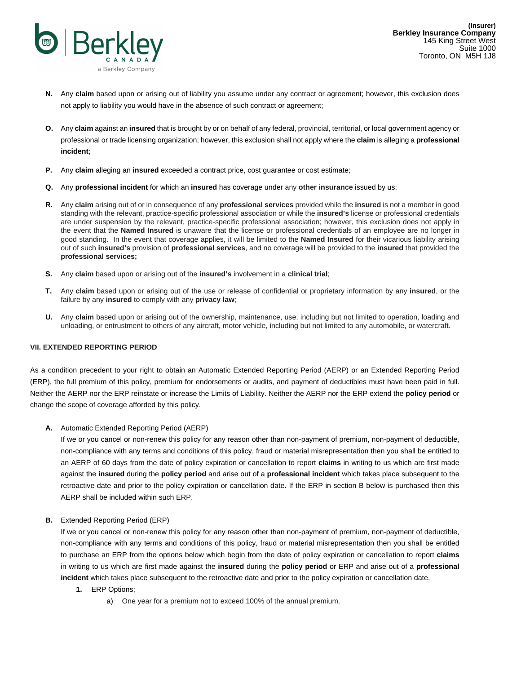

- **N.** Any **claim** based upon or arising out of liability you assume under any contract or agreement; however, this exclusion does not apply to liability you would have in the absence of such contract or agreement;
- **O.** Any **claim** against an **insured** that is brought by or on behalf of any federal, provincial, territorial, or local government agency or professional or trade licensing organization; however, this exclusion shall not apply where the **claim** is alleging a **professional incident**;
- **P.** Any **claim** alleging an **insured** exceeded a contract price, cost guarantee or cost estimate;
- **Q.** Any **professional incident** for which an **insured** has coverage under any **other insurance** issued by us;
- **R.** Any **claim** arising out of or in consequence of any **professional services** provided while the **insured** is not a member in good standing with the relevant, practice-specific professional association or while the **insured's** license or professional credentials are under suspension by the relevant, practice-specific professional association; however, this exclusion does not apply in the event that the **Named Insured** is unaware that the license or professional credentials of an employee are no longer in good standing. In the event that coverage applies, it will be limited to the **Named Insured** for their vicarious liability arising out of such **insured's** provision of **professional services**, and no coverage will be provided to the **insured** that provided the **professional services;**
- **S.** Any **claim** based upon or arising out of the **insured's** involvement in a **clinical trial**;
- **T.** Any **claim** based upon or arising out of the use or release of confidential or proprietary information by any **insured**, or the failure by any **insured** to comply with any **privacy law**;
- **U.** Any **claim** based upon or arising out of the ownership, maintenance, use, including but not limited to operation, loading and unloading, or entrustment to others of any aircraft, motor vehicle, including but not limited to any automobile, or watercraft.

### **VII. EXTENDED REPORTING PERIOD**

As a condition precedent to your right to obtain an Automatic Extended Reporting Period (AERP) or an Extended Reporting Period (ERP), the full premium of this policy, premium for endorsements or audits, and payment of deductibles must have been paid in full. Neither the AERP nor the ERP reinstate or increase the Limits of Liability. Neither the AERP nor the ERP extend the **policy period** or change the scope of coverage afforded by this policy.

**A.** Automatic Extended Reporting Period (AERP)

If we or you cancel or non-renew this policy for any reason other than non-payment of premium, non-payment of deductible, non-compliance with any terms and conditions of this policy, fraud or material misrepresentation then you shall be entitled to an AERP of 60 days from the date of policy expiration or cancellation to report **claims** in writing to us which are first made against the **insured** during the **policy period** and arise out of a **professional incident** which takes place subsequent to the retroactive date and prior to the policy expiration or cancellation date. If the ERP in section B below is purchased then this AERP shall be included within such ERP.

**B.** Extended Reporting Period (ERP)

If we or you cancel or non-renew this policy for any reason other than non-payment of premium, non-payment of deductible, non-compliance with any terms and conditions of this policy, fraud or material misrepresentation then you shall be entitled to purchase an ERP from the options below which begin from the date of policy expiration or cancellation to report **claims** in writing to us which are first made against the **insured** during the **policy period** or ERP and arise out of a **professional incident** which takes place subsequent to the retroactive date and prior to the policy expiration or cancellation date.

- **1.** ERP Options;
	- a) One year for a premium not to exceed 100% of the annual premium.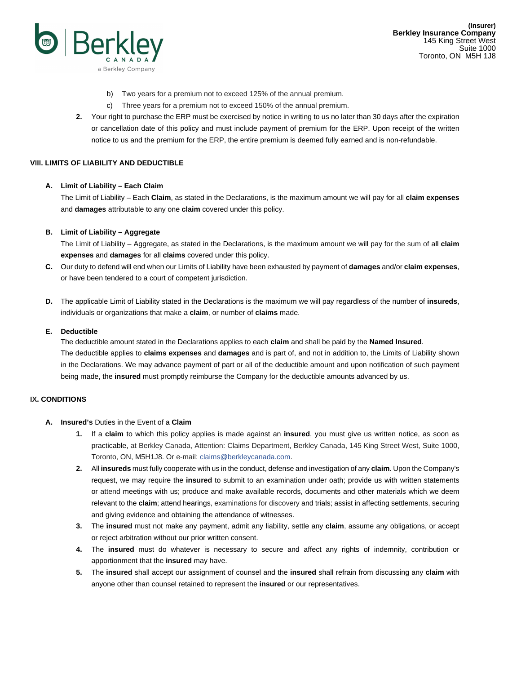

- b) Two years for a premium not to exceed 125% of the annual premium.
- c) Three years for a premium not to exceed 150% of the annual premium.
- **2.** Your right to purchase the ERP must be exercised by notice in writing to us no later than 30 days after the expiration or cancellation date of this policy and must include payment of premium for the ERP. Upon receipt of the written notice to us and the premium for the ERP, the entire premium is deemed fully earned and is non-refundable.

### **VIII. LIMITS OF LIABILITY AND DEDUCTIBLE**

### **A. Limit of Liability – Each Claim**

The Limit of Liability – Each **Claim**, as stated in the Declarations, is the maximum amount we will pay for all **claim expenses** and **damages** attributable to any one **claim** covered under this policy.

### **B. Limit of Liability – Aggregate**

The Limit of Liability – Aggregate, as stated in the Declarations, is the maximum amount we will pay for the sum of all **claim expenses** and **damages** for all **claims** covered under this policy.

- **C.** Our duty to defend will end when our Limits of Liability have been exhausted by payment of **damages** and/or **claim expenses**, or have been tendered to a court of competent jurisdiction.
- **D.** The applicable Limit of Liability stated in the Declarations is the maximum we will pay regardless of the number of **insureds**, individuals or organizations that make a **claim**, or number of **claims** made.

### **E. Deductible**

The deductible amount stated in the Declarations applies to each **claim** and shall be paid by the **Named Insured**. The deductible applies to **claims expenses** and **damages** and is part of, and not in addition to, the Limits of Liability shown in the Declarations. We may advance payment of part or all of the deductible amount and upon notification of such payment being made, the **insured** must promptly reimburse the Company for the deductible amounts advanced by us.

## **IX. CONDITIONS**

- **A. Insured's** Duties in the Event of a **Claim**
	- **1.** If a **claim** to which this policy applies is made against an **insured**, you must give us written notice, as soon as practicable, at Berkley Canada, Attention: Claims Department, Berkley Canada, 145 King Street West, Suite 1000, Toronto, ON, M5H1J8. Or e-mail: claims@berkleycanada.com.
	- **2.** All **insureds** must fully cooperate with us in the conduct, defense and investigation of any **claim**. Upon the Company's request, we may require the **insured** to submit to an examination under oath; provide us with written statements or attend meetings with us; produce and make available records, documents and other materials which we deem relevant to the **claim**; attend hearings, examinations for discovery and trials; assist in affecting settlements, securing and giving evidence and obtaining the attendance of witnesses.
	- **3.** The **insured** must not make any payment, admit any liability, settle any **claim**, assume any obligations, or accept or reject arbitration without our prior written consent.
	- **4.** The **insured** must do whatever is necessary to secure and affect any rights of indemnity, contribution or apportionment that the **insured** may have.
	- **5.** The **insured** shall accept our assignment of counsel and the **insured** shall refrain from discussing any **claim** with anyone other than counsel retained to represent the **insured** or our representatives.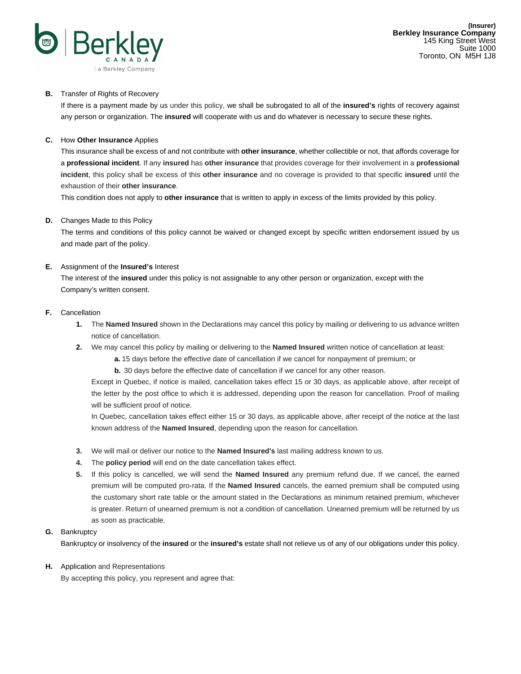

# **B.** Transfer of Rights of Recovery

If there is a payment made by us under this policy, we shall be subrogated to all of the **insured's** rights of recovery against any person or organization. The **insured** will cooperate with us and do whatever is necessary to secure these rights.

## **C.** How **Other Insurance** Applies

This insurance shall be excess of and not contribute with **other insurance**, whether collectible or not, that affords coverage for a **professional incident**. If any **insured** has **other insurance** that provides coverage for their involvement in a **professional incident**, this policy shall be excess of this **other insurance** and no coverage is provided to that specific **insured** until the exhaustion of their **other insurance**.

This condition does not apply to **other insurance** that is written to apply in excess of the limits provided by this policy.

## **D.** Changes Made to this Policy

The terms and conditions of this policy cannot be waived or changed except by specific written endorsement issued by us and made part of the policy.

## **E.** Assignment of the **Insured's** Interest

The interest of the **insured** under this policy is not assignable to any other person or organization, except with the Company's written consent.

### **F.** Cancellation

- **1.** The **Named Insured** shown in the Declarations may cancel this policy by mailing or delivering to us advance written notice of cancellation.
- **2.** We may cancel this policy by mailing or delivering to the **Named Insured** written notice of cancellation at least:
	- **a.** 15 days before the effective date of cancellation if we cancel for nonpayment of premium; or
	- **b.** 30 days before the effective date of cancellation if we cancel for any other reason.

Except in Quebec, if notice is mailed, cancellation takes effect 15 or 30 days, as applicable above, after receipt of the letter by the post office to which it is addressed, depending upon the reason for cancellation. Proof of mailing will be sufficient proof of notice.

In Quebec, cancellation takes effect either 15 or 30 days, as applicable above, after receipt of the notice at the last known address of the **Named Insured**, depending upon the reason for cancellation.

- **3.** We will mail or deliver our notice to the **Named Insured's** last mailing address known to us.
- **4.** The **policy period** will end on the date cancellation takes effect.
- **5.** If this policy is cancelled, we will send the **Named Insured** any premium refund due. If we cancel, the earned premium will be computed pro-rata. If the **Named Insured** cancels, the earned premium shall be computed using the customary short rate table or the amount stated in the Declarations as minimum retained premium, whichever is greater. Return of unearned premium is not a condition of cancellation. Unearned premium will be returned by us as soon as practicable.

# **G.** Bankruptcy

Bankruptcy or insolvency of the **insured** or the **insured's** estate shall not relieve us of any of our obligations under this policy.

### **H.** Application and Representations

By accepting this policy, you represent and agree that: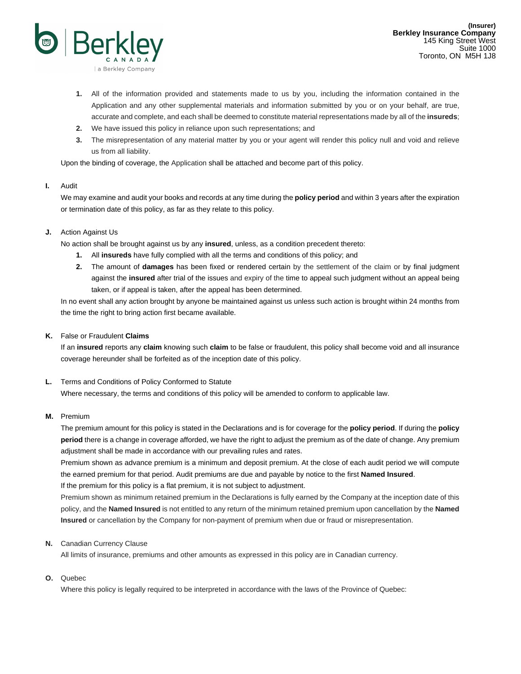

- **1.** All of the information provided and statements made to us by you, including the information contained in the Application and any other supplemental materials and information submitted by you or on your behalf, are true, accurate and complete, and each shall be deemed to constitute material representations made by all of the **insureds**;
- **2.** We have issued this policy in reliance upon such representations; and
- **3.** The misrepresentation of any material matter by you or your agent will render this policy null and void and relieve us from all liability.

Upon the binding of coverage, the Application shall be attached and become part of this policy.

## **I.** Audit

We may examine and audit your books and records at any time during the **policy period** and within 3 years after the expiration or termination date of this policy, as far as they relate to this policy.

# **J.** Action Against Us

No action shall be brought against us by any **insured**, unless, as a condition precedent thereto:

- **1.** All **insureds** have fully complied with all the terms and conditions of this policy; and
- **2.** The amount of **damages** has been fixed or rendered certain by the settlement of the claim or by final judgment against the **insured** after trial of the issues and expiry of the time to appeal such judgment without an appeal being taken, or if appeal is taken, after the appeal has been determined.

In no event shall any action brought by anyone be maintained against us unless such action is brought within 24 months from the time the right to bring action first became available.

# **K.** False or Fraudulent **Claims**

If an **insured** reports any **claim** knowing such **claim** to be false or fraudulent, this policy shall become void and all insurance coverage hereunder shall be forfeited as of the inception date of this policy.

## **L.** Terms and Conditions of Policy Conformed to Statute

Where necessary, the terms and conditions of this policy will be amended to conform to applicable law.

## **M.** Premium

The premium amount for this policy is stated in the Declarations and is for coverage for the **policy period**. If during the **policy period** there is a change in coverage afforded, we have the right to adjust the premium as of the date of change. Any premium adjustment shall be made in accordance with our prevailing rules and rates.

Premium shown as advance premium is a minimum and deposit premium. At the close of each audit period we will compute the earned premium for that period. Audit premiums are due and payable by notice to the first **Named Insured**. If the premium for this policy is a flat premium, it is not subject to adjustment.

Premium shown as minimum retained premium in the Declarations is fully earned by the Company at the inception date of this policy, and the **Named Insured** is not entitled to any return of the minimum retained premium upon cancellation by the **Named Insured** or cancellation by the Company for non-payment of premium when due or fraud or misrepresentation.

## **N.** Canadian Currency Clause

All limits of insurance, premiums and other amounts as expressed in this policy are in Canadian currency.

# **O.** Quebec

Where this policy is legally required to be interpreted in accordance with the laws of the Province of Quebec: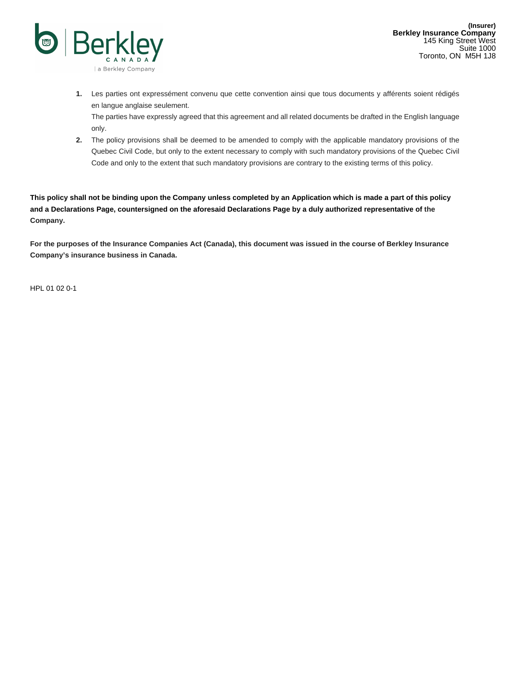

**1.** Les parties ont expressément convenu que cette convention ainsi que tous documents y afférents soient rédigés en langue anglaise seulement.

The parties have expressly agreed that this agreement and all related documents be drafted in the English language only.

**2.** The policy provisions shall be deemed to be amended to comply with the applicable mandatory provisions of the Quebec Civil Code, but only to the extent necessary to comply with such mandatory provisions of the Quebec Civil Code and only to the extent that such mandatory provisions are contrary to the existing terms of this policy.

**This policy shall not be binding upon the Company unless completed by an Application which is made a part of this policy and a Declarations Page, countersigned on the aforesaid Declarations Page by a duly authorized representative of the Company.**

**For the purposes of the Insurance Companies Act (Canada), this document was issued in the course of Berkley Insurance Company's insurance business in Canada.**

HPL 01 02 0-1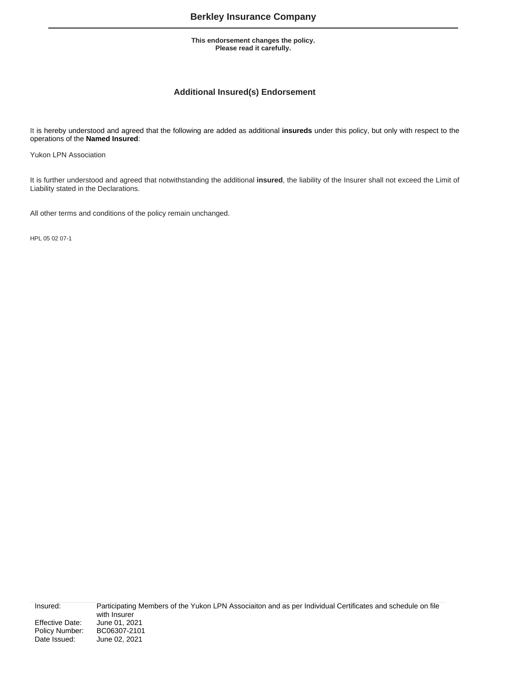# **Additional Insured(s) Endorsement**

It is hereby understood and agreed that the following are added as additional **insureds** under this policy, but only with respect to the operations of the **Named Insured**:

Yukon LPN Association

It is further understood and agreed that notwithstanding the additional **insured**, the liability of the Insurer shall not exceed the Limit of Liability stated in the Declarations.

All other terms and conditions of the policy remain unchanged.

HPL 05 02 07-1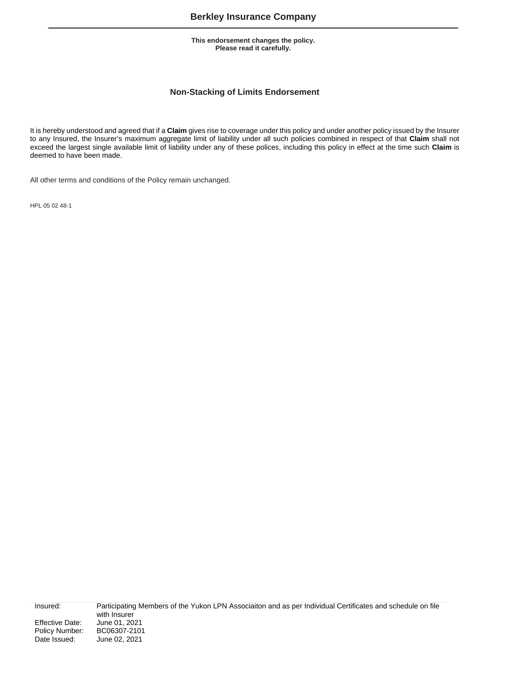# **Non-Stacking of Limits Endorsement**

It is hereby understood and agreed that if a **Claim** gives rise to coverage under this policy and under another policy issued by the Insurer to any Insured, the Insurer's maximum aggregate limit of liability under all such policies combined in respect of that **Claim** shall not exceed the largest single available limit of liability under any of these polices, including this policy in effect at the time such **Claim** is deemed to have been made.

All other terms and conditions of the Policy remain unchanged.

HPL 05 02 48-1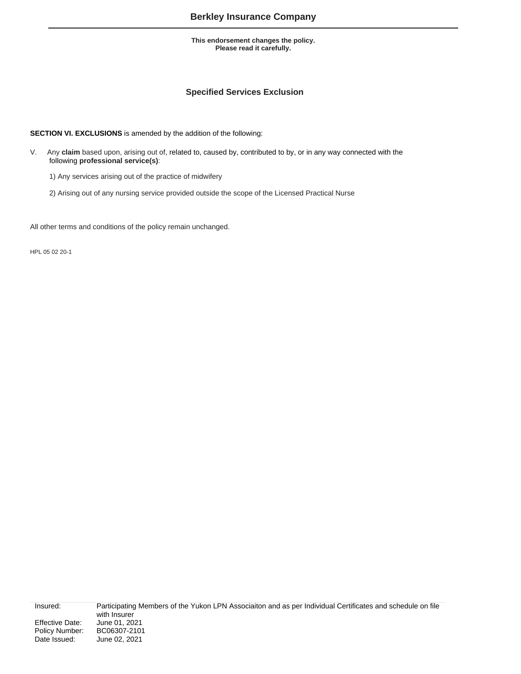# **Specified Services Exclusion**

**SECTION VI. EXCLUSIONS** is amended by the addition of the following:

- V. Any **claim** based upon, arising out of, related to, caused by, contributed to by, or in any way connected with the following **professional service(s)**:
	- 1) Any services arising out of the practice of midwifery
	- 2) Arising out of any nursing service provided outside the scope of the Licensed Practical Nurse

All other terms and conditions of the policy remain unchanged.

HPL 05 02 20-1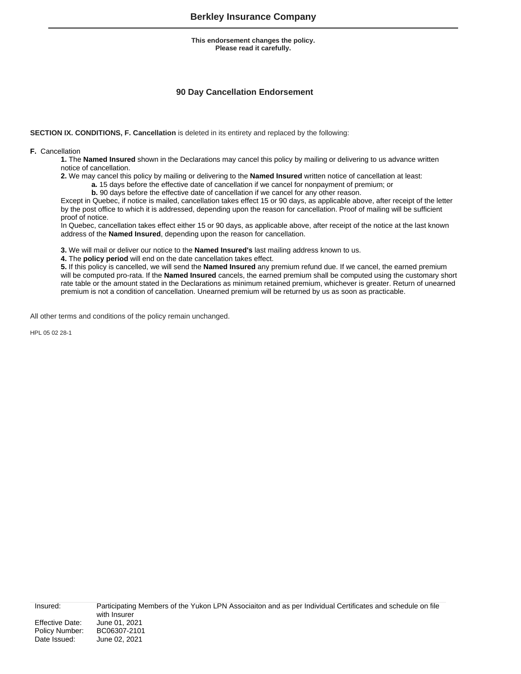# **90 Day Cancellation Endorsement**

**SECTION IX. CONDITIONS, F. Cancellation** is deleted in its entirety and replaced by the following:

**F.** Cancellation

**1.** The **Named Insured** shown in the Declarations may cancel this policy by mailing or delivering to us advance written notice of cancellation.

**2.** We may cancel this policy by mailing or delivering to the **Named Insured** written notice of cancellation at least:

**a.** 15 days before the effective date of cancellation if we cancel for nonpayment of premium; or

**b.** 90 days before the effective date of cancellation if we cancel for any other reason.

Except in Quebec, if notice is mailed, cancellation takes effect 15 or 90 days, as applicable above, after receipt of the letter by the post office to which it is addressed, depending upon the reason for cancellation. Proof of mailing will be sufficient proof of notice.

In Quebec, cancellation takes effect either 15 or 90 days, as applicable above, after receipt of the notice at the last known address of the **Named Insured**, depending upon the reason for cancellation.

**3.** We will mail or deliver our notice to the **Named Insured's** last mailing address known to us.

**4.** The **policy period** will end on the date cancellation takes effect.

**5.** If this policy is cancelled, we will send the **Named Insured** any premium refund due. If we cancel, the earned premium will be computed pro-rata. If the **Named Insured** cancels, the earned premium shall be computed using the customary short rate table or the amount stated in the Declarations as minimum retained premium, whichever is greater. Return of unearned premium is not a condition of cancellation. Unearned premium will be returned by us as soon as practicable.

All other terms and conditions of the policy remain unchanged.

HPL 05 02 28-1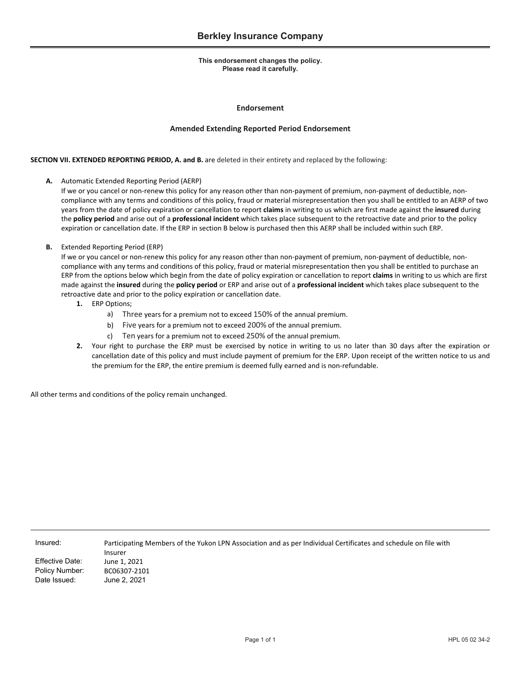### **Endorsement**

### **Amended Extending Reported Period Endorsement**

### **SECTION VII. EXTENDED REPORTING PERIOD, A. and B.** are deleted in their entirety and replaced by the following:

**A.** Automatic Extended Reporting Period (AERP)

If we or you cancel or non-renew this policy for any reason other than non-payment of premium, non-payment of deductible, noncompliance with any terms and conditions of this policy, fraud or material misrepresentation then you shall be entitled to an AERP of two years from the date of policy expiration or cancellation to report **claims** in writing to us which are first made against the **insured** during the **policy period** and arise out of a **professional incident** which takes place subsequent to the retroactive date and prior to the policy expiration or cancellation date. If the ERP in section B below is purchased then this AERP shall be included within such ERP.

### **B.** Extended Reporting Period (ERP)

If we or you cancel or non-renew this policy for any reason other than non-payment of premium, non-payment of deductible, noncompliance with any terms and conditions of this policy, fraud or material misrepresentation then you shall be entitled to purchase an ERP from the options below which begin from the date of policy expiration or cancellation to report **claims** in writing to us which are first made against the **insured** during the **policy period** or ERP and arise out of a **professional incident** which takes place subsequent to the retroactive date and prior to the policy expiration or cancellation date.

- **1.** ERP Options;
	- a) Three years for a premium not to exceed 150% of the annual premium.
	- b) Five years for a premium not to exceed 200% of the annual premium.
	- c) Ten years for a premium not to exceed 250% of the annual premium.
- **2.** Your right to purchase the ERP must be exercised by notice in writing to us no later than 30 days after the expiration or cancellation date of this policy and must include payment of premium for the ERP. Upon receipt of the written notice to us and the premium for the ERP, the entire premium is deemed fully earned and is non-refundable.

All other terms and conditions of the policy remain unchanged.

| ii isul eu. |  |  |
|-------------|--|--|
|             |  |  |
|             |  |  |

Insured: Participating Members of the Yukon LPN Association and as per Individual Certificates and schedule on file with Insurer Effective Date: June 1, 2021 Policy Number: BC06307‐2101 Date Issued: June 2, 2021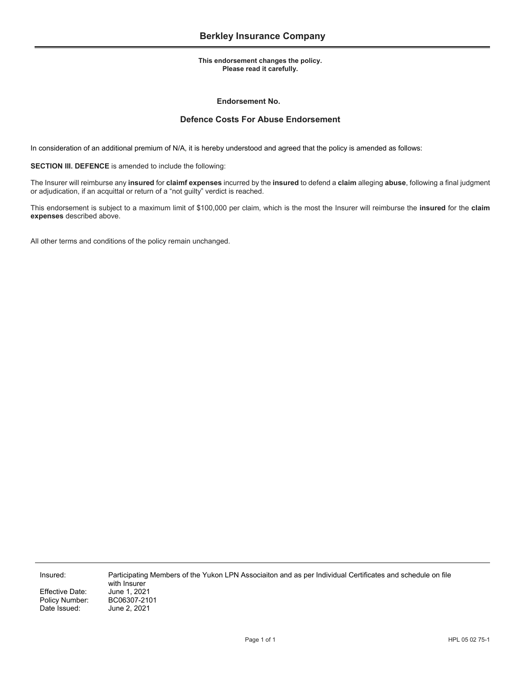### **Endorsement No.**

# **Defence Costs For Abuse Endorsement**

In consideration of an additional premium of N/A, it is hereby understood and agreed that the policy is amended as follows:

**SECTION III. DEFENCE** is amended to include the following:

The Insurer will reimburse any **insured** for **claimf expenses** incurred by the **insured** to defend a **claim** alleging **abuse**, following a final judgment or adjudication, if an acquittal or return of a "not guilty" verdict is reached.

This endorsement is subject to a maximum limit of \$100,000 per claim, which is the most the Insurer will reimburse the **insured** for the **claim expenses** described above.

All other terms and conditions of the policy remain unchanged.

Effective Date: June 1, 2021<br>Policy Number: BC06307-2101 Policy Number:<br>Date Issued:

Insured: Participating Members of the Yukon LPN Associaiton and as per Individual Certificates and schedule on file with Insurer<br>June 1, 2021 June 2, 2021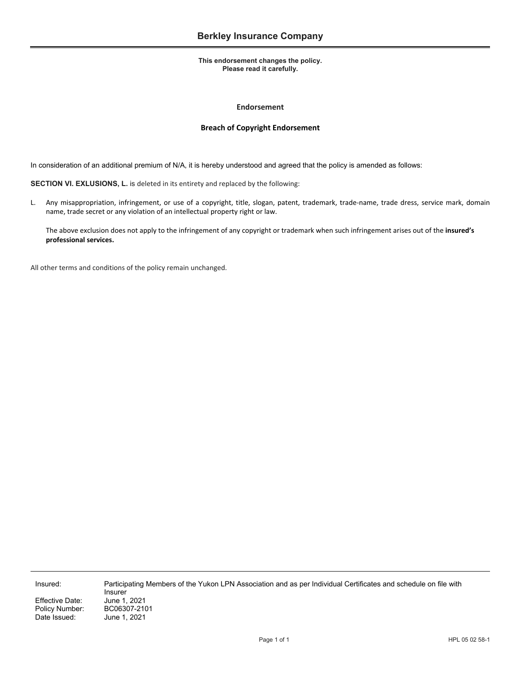### **Endorsement**

### **Breach of Copyright Endorsement**

In consideration of an additional premium of N/A, it is hereby understood and agreed that the policy is amended as follows:

**SECTION VI. EXLUSIONS, L.** is deleted in its entirety and replaced by the following:

L. Any misappropriation, infringement, or use of a copyright, title, slogan, patent, trademark, trade‐name, trade dress, service mark, domain name, trade secret or any violation of an intellectual property right or law.

The above exclusion does not apply to the infringement of any copyright or trademark when such infringement arises out of the **insured's professional services.** 

All other terms and conditions of the policy remain unchanged.

Effective Date: Policy Number: BC06307-2101 Date Issued: June 1, 2021

Insured: Participating Members of the Yukon LPN Association and as per Individual Certificates and schedule on file with Insurer<br>June 1. 2021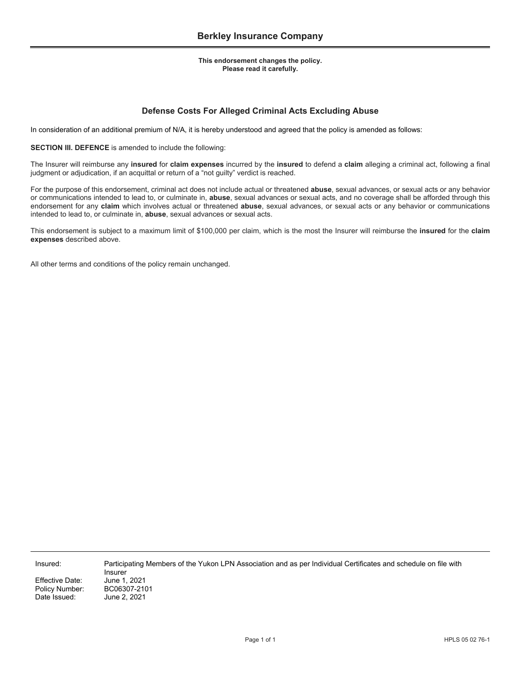# **Defense Costs For Alleged Criminal Acts Excluding Abuse**

In consideration of an additional premium of N/A, it is hereby understood and agreed that the policy is amended as follows:

**SECTION III. DEFENCE** is amended to include the following:

The Insurer will reimburse any **insured** for **claim expenses** incurred by the **insured** to defend a **claim** alleging a criminal act, following a final judgment or adjudication, if an acquittal or return of a "not guilty" verdict is reached.

For the purpose of this endorsement, criminal act does not include actual or threatened **abuse**, sexual advances, or sexual acts or any behavior or communications intended to lead to, or culminate in, **abuse**, sexual advances or sexual acts, and no coverage shall be afforded through this endorsement for any **claim** which involves actual or threatened **abuse**, sexual advances, or sexual acts or any behavior or communications intended to lead to, or culminate in, **abuse**, sexual advances or sexual acts.

This endorsement is subject to a maximum limit of \$100,000 per claim, which is the most the Insurer will reimburse the **insured** for the **claim expenses** described above.

All other terms and conditions of the policy remain unchanged.

Insured: Participating Members of the Yukon LPN Association and as per Individual Certificates and schedule on file with Insurer Effective Date: June 1, 2021<br>Policy Number: BC06307-2101

Policy Number: Date Issued: June 2, 2021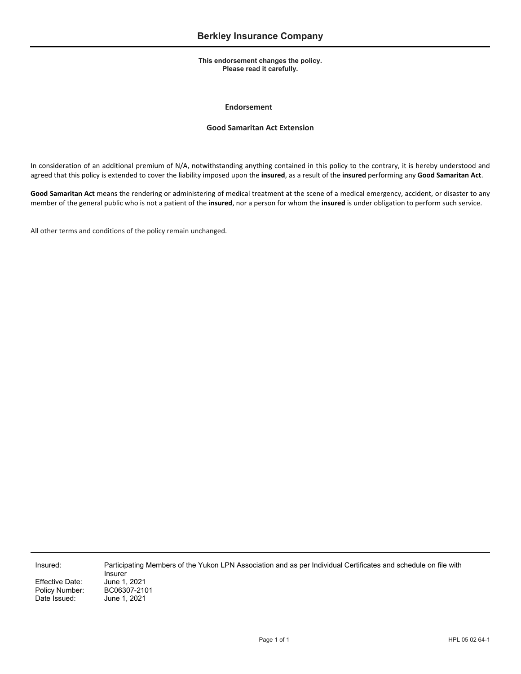### **Endorsement**

## **Good Samaritan Act Extension**

In consideration of an additional premium of N/A, notwithstanding anything contained in this policy to the contrary, it is hereby understood and agreed that this policy is extended to cover the liability imposed upon the **insured**, as a result of the **insured** performing any **Good Samaritan Act**.

**Good Samaritan Act** means the rendering or administering of medical treatment at the scene of a medical emergency, accident, or disaster to any member of the general public who is not a patient of the **insured**, nor a person for whom the **insured** is under obligation to perform such service.

All other terms and conditions of the policy remain unchanged.

Insured: Participating Members of the Yukon LPN Association and as per Individual Certificates and schedule on file with Insurer Effective Date: June 1, 2021 June 1, 2021

Policy Number: BC06307-2101<br>Date Issued: June 1, 2021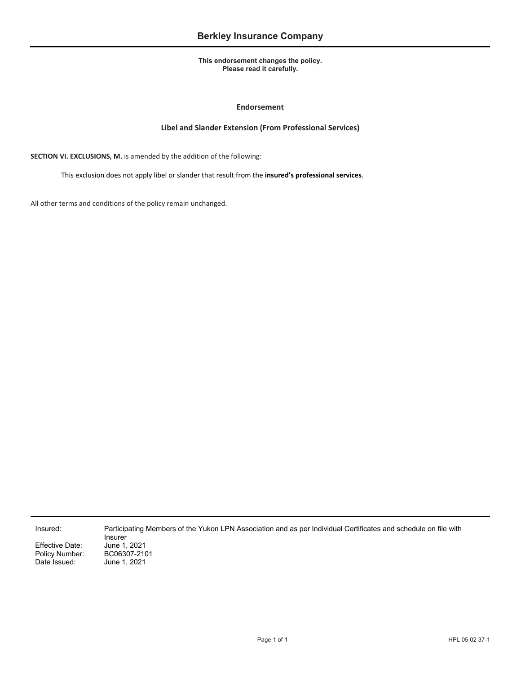## **Endorsement**

## **Libel and Slander Extension (From Professional Services)**

**SECTION VI. EXCLUSIONS, M.** is amended by the addition of the following:

This exclusion does not apply libel or slander that result from the **insured's professional services**.

All other terms and conditions of the policy remain unchanged.

Effective Date: June 1, 2021<br>Policy Number: BC06307-210 Policy Number: BC06307-2101<br>Date Issued: June 1, 2021

Insurer June 1, 2021

Insured: Participating Members of the Yukon LPN Association and as per Individual Certificates and schedule on file with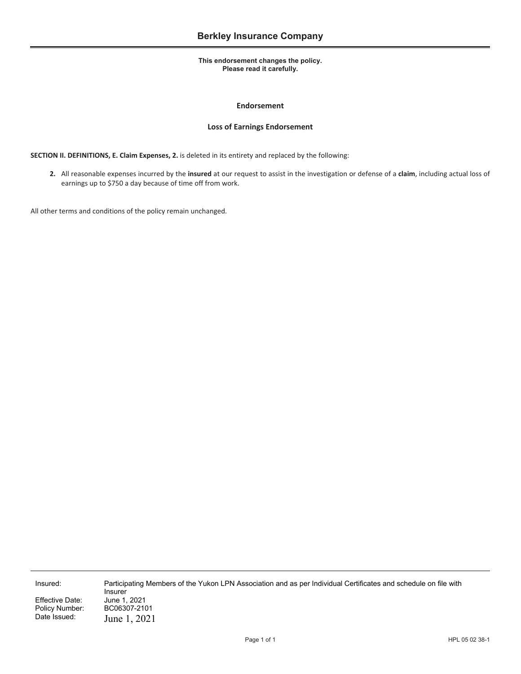## **Endorsement**

## **Loss of Earnings Endorsement**

**SECTION II. DEFINITIONS, E. Claim Expenses, 2.** is deleted in its entirety and replaced by the following:

**2.** All reasonable expenses incurred by the **insured** at our request to assist in the investigation or defense of a **claim**, including actual loss of earnings up to \$750 a day because of time off from work.

All other terms and conditions of the policy remain unchanged.

Effective Date:<br>Policy Number: Policy Number: BC06307-2101<br>Date Issued: Iune 1 2021

June 1, 2021

Insured: Participating Members of the Yukon LPN Association and as per Individual Certificates and schedule on file with Insurer<br>June 1, 2021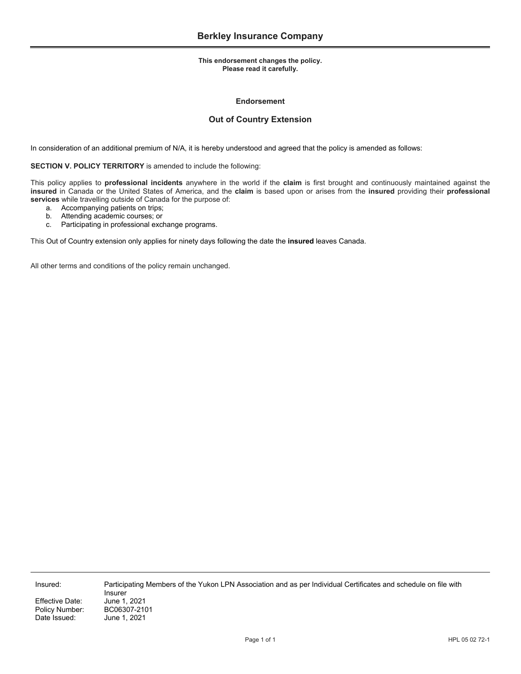### **Endorsement**

# **Out of Country Extension**

In consideration of an additional premium of N/A, it is hereby understood and agreed that the policy is amended as follows:

**SECTION V. POLICY TERRITORY** is amended to include the following:

This policy applies to **professional incidents** anywhere in the world if the **claim** is first brought and continuously maintained against the **insured** in Canada or the United States of America, and the **claim** is based upon or arises from the **insured** providing their **professional services** while travelling outside of Canada for the purpose of:

- a. Accompanying patients on trips;
- b. Attending academic courses; or
- c. Participating in professional exchange programs.

This Out of Country extension only applies for ninety days following the date the **insured** leaves Canada.

All other terms and conditions of the policy remain unchanged.

Policy Number:<br>Date Issued:

Insurer<br>June 1, 2021 Effective Date: June 1, 2021<br>Policy Number: BC06307-2101 June 1, 2021

Insured: Participating Members of the Yukon LPN Association and as per Individual Certificates and schedule on file with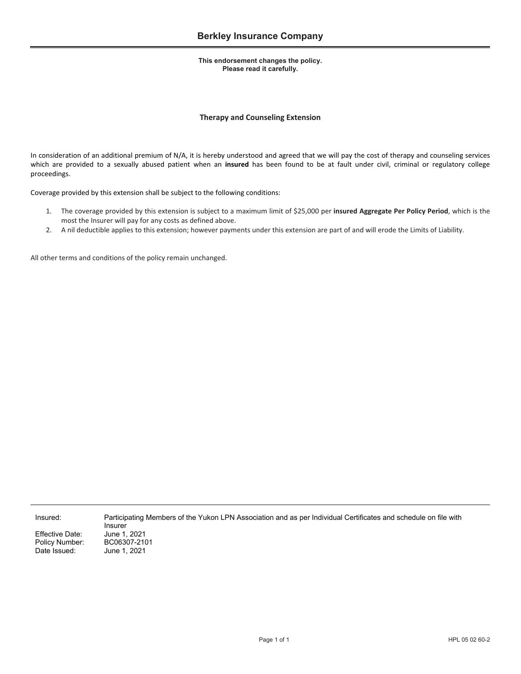# **Therapy and Counseling Extension**

In consideration of an additional premium of N/A, it is hereby understood and agreed that we will pay the cost of therapy and counseling services which are provided to a sexually abused patient when an **insured** has been found to be at fault under civil, criminal or regulatory college proceedings.

Coverage provided by this extension shall be subject to the following conditions:

- 1. The coverage provided by this extension is subject to a maximum limit of \$25,000 per **insured Aggregate Per Policy Period**, which is the most the Insurer will pay for any costs as defined above.
- 2. A nil deductible applies to this extension; however payments under this extension are part of and will erode the Limits of Liability.

All other terms and conditions of the policy remain unchanged.

Policy Number:

Insured: Participating Members of the Yukon LPN Association and as per Individual Certificates and schedule on file with Insurer Effective Date: June 1, 2021<br>Policy Number: BC06307-2101 Date Issued: June 1, 2021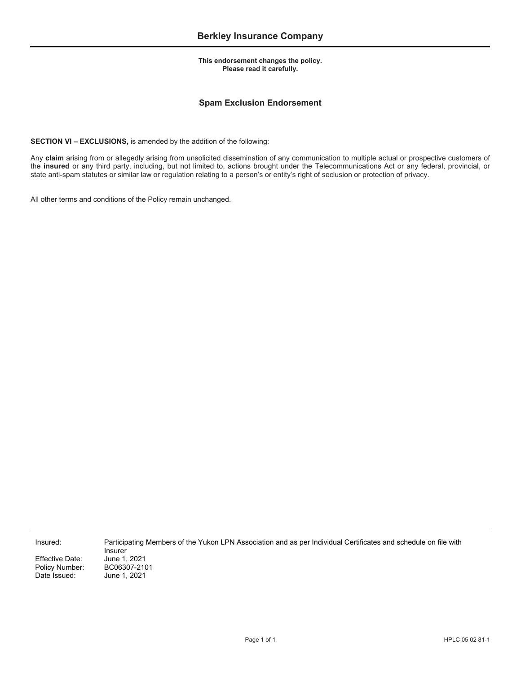# **Spam Exclusion Endorsement**

**SECTION VI – EXCLUSIONS,** is amended by the addition of the following:

Any **claim** arising from or allegedly arising from unsolicited dissemination of any communication to multiple actual or prospective customers of the **insured** or any third party, including, but not limited to, actions brought under the Telecommunications Act or any federal, provincial, or state anti-spam statutes or similar law or regulation relating to a person's or entity's right of seclusion or protection of privacy.

All other terms and conditions of the Policy remain unchanged.

Insured: Participating Members of the Yukon LPN Association and as per Individual Certificates and schedule on file with

Effective Date: June 1, 2021<br>Policy Number: BC06307-210

Insurer Policy Number: BC06307-2101<br>Date Issued: June 1, 2021 June 1, 2021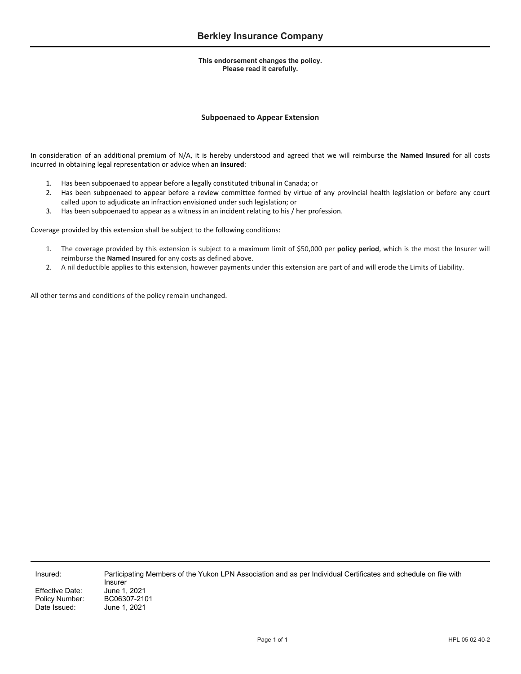## **Subpoenaed to Appear Extension**

In consideration of an additional premium of N/A, it is hereby understood and agreed that we will reimburse the **Named Insured** for all costs incurred in obtaining legal representation or advice when an **insured**:

- 1. Has been subpoenaed to appear before a legally constituted tribunal in Canada; or
- 2. Has been subpoenaed to appear before a review committee formed by virtue of any provincial health legislation or before any court called upon to adjudicate an infraction envisioned under such legislation; or
- 3. Has been subpoenaed to appear as a witness in an incident relating to his / her profession.

Coverage provided by this extension shall be subject to the following conditions:

- 1. The coverage provided by this extension is subject to a maximum limit of \$50,000 per **policy period**, which is the most the Insurer will reimburse the **Named Insured** for any costs as defined above.
- 2. A nil deductible applies to this extension, however payments under this extension are part of and will erode the Limits of Liability.

All other terms and conditions of the policy remain unchanged.

Insured: Participating Members of the Yukon LPN Association and as per Individual Certificates and schedule on file with Insurer BC06307-2101

Effective Date: June 1, 2021<br>Policy Number: BC06307-210 Date Issued: June 1, 2021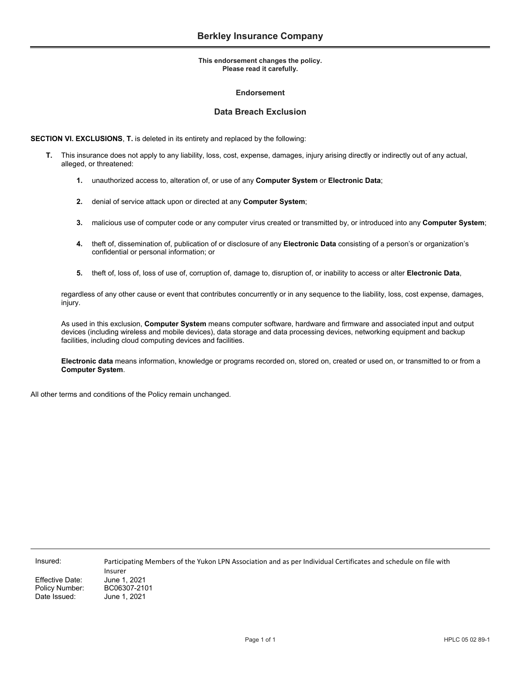### **Endorsement**

## **Data Breach Exclusion**

**SECTION VI. EXCLUSIONS**, **T.** is deleted in its entirety and replaced by the following:

- **T.** This insurance does not apply to any liability, loss, cost, expense, damages, injury arising directly or indirectly out of any actual, alleged, or threatened:
	- **1.** unauthorized access to, alteration of, or use of any **Computer System** or **Electronic Data**;
	- **2.** denial of service attack upon or directed at any **Computer System**;
	- **3.** malicious use of computer code or any computer virus created or transmitted by, or introduced into any **Computer System**;
	- **4.** theft of, dissemination of, publication of or disclosure of any **Electronic Data** consisting of a person's or organization's confidential or personal information; or
	- **5.** theft of, loss of, loss of use of, corruption of, damage to, disruption of, or inability to access or alter **Electronic Data**,

regardless of any other cause or event that contributes concurrently or in any sequence to the liability, loss, cost expense, damages, injury.

As used in this exclusion, **Computer System** means computer software, hardware and firmware and associated input and output devices (including wireless and mobile devices), data storage and data processing devices, networking equipment and backup facilities, including cloud computing devices and facilities.

**Electronic data** means information, knowledge or programs recorded on, stored on, created or used on, or transmitted to or from a **Computer System**.

All other terms and conditions of the Policy remain unchanged.

Effective Date: June 1, 2021 Policy Number: BC06307-2101 Date Issued: June 1, 2021

Insured: Participating Members of the Yukon LPN Association and as per Individual Certificates and schedule on file with Insurer